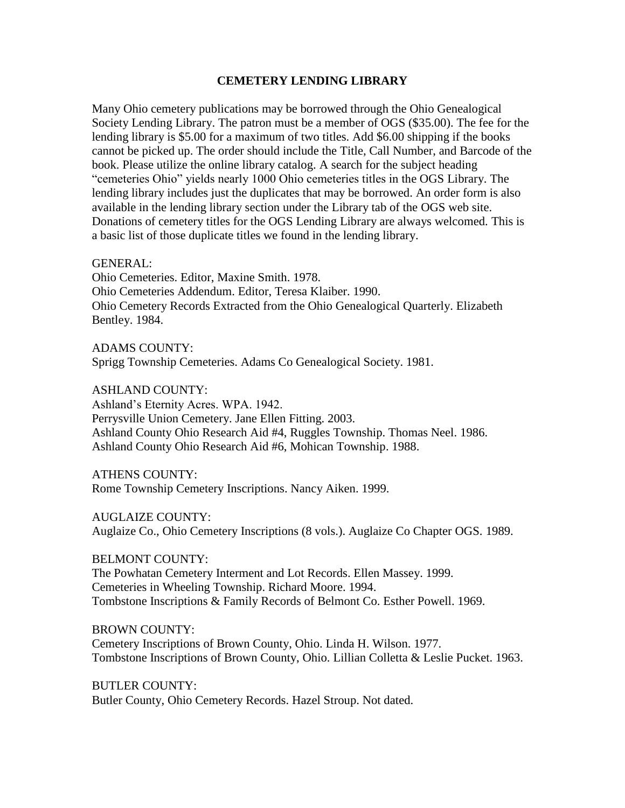# **CEMETERY LENDING LIBRARY**

Many Ohio cemetery publications may be borrowed through the Ohio Genealogical Society Lending Library. The patron must be a member of OGS (\$35.00). The fee for the lending library is \$5.00 for a maximum of two titles. Add \$6.00 shipping if the books cannot be picked up. The order should include the Title, Call Number, and Barcode of the book. Please utilize the online library catalog. A search for the subject heading "cemeteries Ohio" yields nearly 1000 Ohio cemeteries titles in the OGS Library. The lending library includes just the duplicates that may be borrowed. An order form is also available in the lending library section under the Library tab of the OGS web site. Donations of cemetery titles for the OGS Lending Library are always welcomed. This is a basic list of those duplicate titles we found in the lending library.

### GENERAL:

Ohio Cemeteries. Editor, Maxine Smith. 1978. Ohio Cemeteries Addendum. Editor, Teresa Klaiber. 1990. Ohio Cemetery Records Extracted from the Ohio Genealogical Quarterly. Elizabeth Bentley. 1984.

ADAMS COUNTY:

Sprigg Township Cemeteries. Adams Co Genealogical Society. 1981.

ASHLAND COUNTY:

Ashland's Eternity Acres. WPA. 1942.

Perrysville Union Cemetery. Jane Ellen Fitting. 2003. Ashland County Ohio Research Aid #4, Ruggles Township. Thomas Neel. 1986. Ashland County Ohio Research Aid #6, Mohican Township. 1988.

ATHENS COUNTY:

Rome Township Cemetery Inscriptions. Nancy Aiken. 1999.

AUGLAIZE COUNTY:

Auglaize Co., Ohio Cemetery Inscriptions (8 vols.). Auglaize Co Chapter OGS. 1989.

## BELMONT COUNTY:

The Powhatan Cemetery Interment and Lot Records. Ellen Massey. 1999. Cemeteries in Wheeling Township. Richard Moore. 1994. Tombstone Inscriptions & Family Records of Belmont Co. Esther Powell. 1969.

BROWN COUNTY:

Cemetery Inscriptions of Brown County, Ohio. Linda H. Wilson. 1977. Tombstone Inscriptions of Brown County, Ohio. Lillian Colletta & Leslie Pucket. 1963.

BUTLER COUNTY: Butler County, Ohio Cemetery Records. Hazel Stroup. Not dated.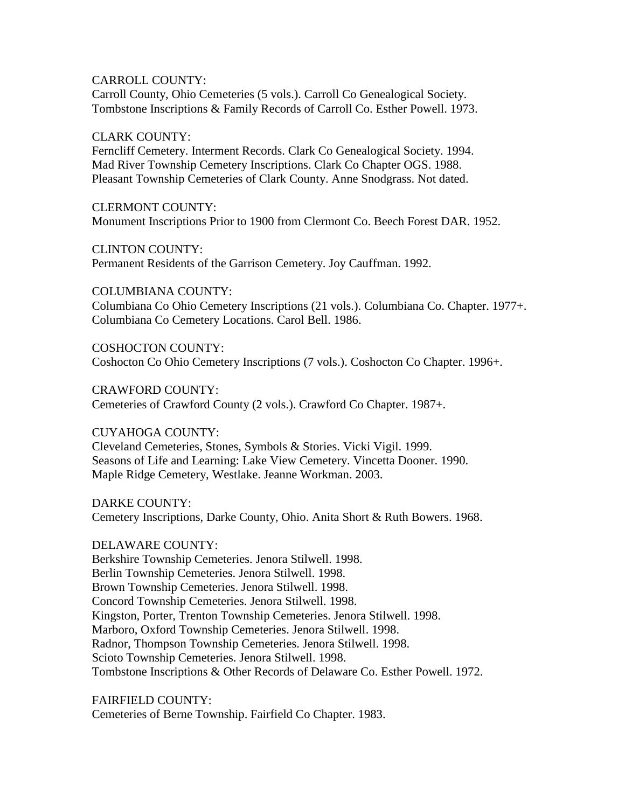# CARROLL COUNTY:

Carroll County, Ohio Cemeteries (5 vols.). Carroll Co Genealogical Society. Tombstone Inscriptions & Family Records of Carroll Co. Esther Powell. 1973.

## CLARK COUNTY:

Ferncliff Cemetery. Interment Records. Clark Co Genealogical Society. 1994. Mad River Township Cemetery Inscriptions. Clark Co Chapter OGS. 1988. Pleasant Township Cemeteries of Clark County. Anne Snodgrass. Not dated.

CLERMONT COUNTY: Monument Inscriptions Prior to 1900 from Clermont Co. Beech Forest DAR. 1952.

CLINTON COUNTY:

Permanent Residents of the Garrison Cemetery. Joy Cauffman. 1992.

COLUMBIANA COUNTY:

Columbiana Co Ohio Cemetery Inscriptions (21 vols.). Columbiana Co. Chapter. 1977+. Columbiana Co Cemetery Locations. Carol Bell. 1986.

COSHOCTON COUNTY: Coshocton Co Ohio Cemetery Inscriptions (7 vols.). Coshocton Co Chapter. 1996+.

CRAWFORD COUNTY: Cemeteries of Crawford County (2 vols.). Crawford Co Chapter. 1987+.

# CUYAHOGA COUNTY:

Cleveland Cemeteries, Stones, Symbols & Stories. Vicki Vigil. 1999. Seasons of Life and Learning: Lake View Cemetery. Vincetta Dooner. 1990. Maple Ridge Cemetery, Westlake. Jeanne Workman. 2003.

DARKE COUNTY: Cemetery Inscriptions, Darke County, Ohio. Anita Short & Ruth Bowers. 1968.

# DELAWARE COUNTY:

Berkshire Township Cemeteries. Jenora Stilwell. 1998. Berlin Township Cemeteries. Jenora Stilwell. 1998. Brown Township Cemeteries. Jenora Stilwell. 1998. Concord Township Cemeteries. Jenora Stilwell. 1998. Kingston, Porter, Trenton Township Cemeteries. Jenora Stilwell. 1998. Marboro, Oxford Township Cemeteries. Jenora Stilwell. 1998. Radnor, Thompson Township Cemeteries. Jenora Stilwell. 1998. Scioto Township Cemeteries. Jenora Stilwell. 1998. Tombstone Inscriptions & Other Records of Delaware Co. Esther Powell. 1972.

FAIRFIELD COUNTY: Cemeteries of Berne Township. Fairfield Co Chapter. 1983.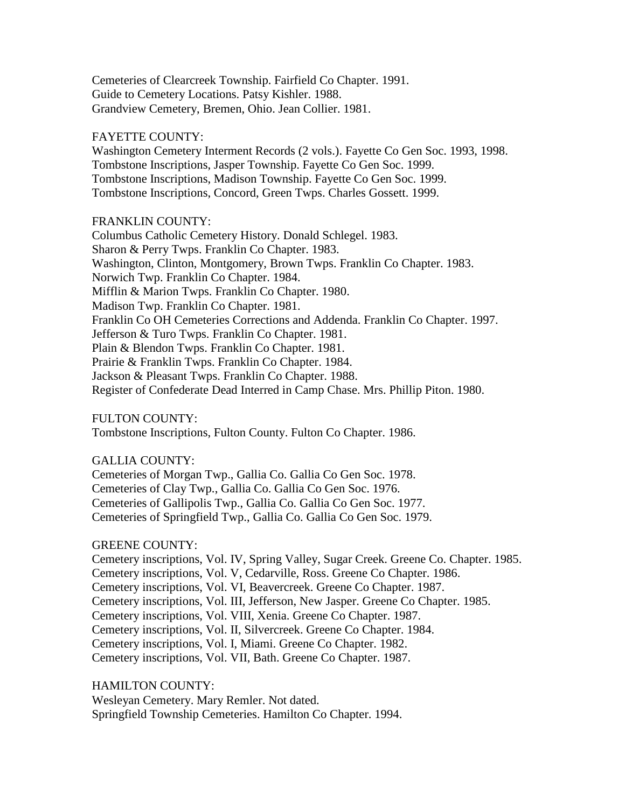Cemeteries of Clearcreek Township. Fairfield Co Chapter. 1991. Guide to Cemetery Locations. Patsy Kishler. 1988. Grandview Cemetery, Bremen, Ohio. Jean Collier. 1981.

## FAYETTE COUNTY:

Washington Cemetery Interment Records (2 vols.). Fayette Co Gen Soc. 1993, 1998. Tombstone Inscriptions, Jasper Township. Fayette Co Gen Soc. 1999. Tombstone Inscriptions, Madison Township. Fayette Co Gen Soc. 1999. Tombstone Inscriptions, Concord, Green Twps. Charles Gossett. 1999.

# FRANKLIN COUNTY:

Columbus Catholic Cemetery History. Donald Schlegel. 1983. Sharon & Perry Twps. Franklin Co Chapter. 1983. Washington, Clinton, Montgomery, Brown Twps. Franklin Co Chapter. 1983. Norwich Twp. Franklin Co Chapter. 1984. Mifflin & Marion Twps. Franklin Co Chapter. 1980. Madison Twp. Franklin Co Chapter. 1981. Franklin Co OH Cemeteries Corrections and Addenda. Franklin Co Chapter. 1997. Jefferson & Turo Twps. Franklin Co Chapter. 1981. Plain & Blendon Twps. Franklin Co Chapter. 1981. Prairie & Franklin Twps. Franklin Co Chapter. 1984. Jackson & Pleasant Twps. Franklin Co Chapter. 1988. Register of Confederate Dead Interred in Camp Chase. Mrs. Phillip Piton. 1980.

FULTON COUNTY:

Tombstone Inscriptions, Fulton County. Fulton Co Chapter. 1986.

# GALLIA COUNTY:

Cemeteries of Morgan Twp., Gallia Co. Gallia Co Gen Soc. 1978. Cemeteries of Clay Twp., Gallia Co. Gallia Co Gen Soc. 1976. Cemeteries of Gallipolis Twp., Gallia Co. Gallia Co Gen Soc. 1977. Cemeteries of Springfield Twp., Gallia Co. Gallia Co Gen Soc. 1979.

# GREENE COUNTY:

Cemetery inscriptions, Vol. IV, Spring Valley, Sugar Creek. Greene Co. Chapter. 1985. Cemetery inscriptions, Vol. V, Cedarville, Ross. Greene Co Chapter. 1986. Cemetery inscriptions, Vol. VI, Beavercreek. Greene Co Chapter. 1987. Cemetery inscriptions, Vol. III, Jefferson, New Jasper. Greene Co Chapter. 1985. Cemetery inscriptions, Vol. VIII, Xenia. Greene Co Chapter. 1987. Cemetery inscriptions, Vol. II, Silvercreek. Greene Co Chapter. 1984. Cemetery inscriptions, Vol. I, Miami. Greene Co Chapter. 1982. Cemetery inscriptions, Vol. VII, Bath. Greene Co Chapter. 1987.

HAMILTON COUNTY:

Wesleyan Cemetery. Mary Remler. Not dated.

Springfield Township Cemeteries. Hamilton Co Chapter. 1994.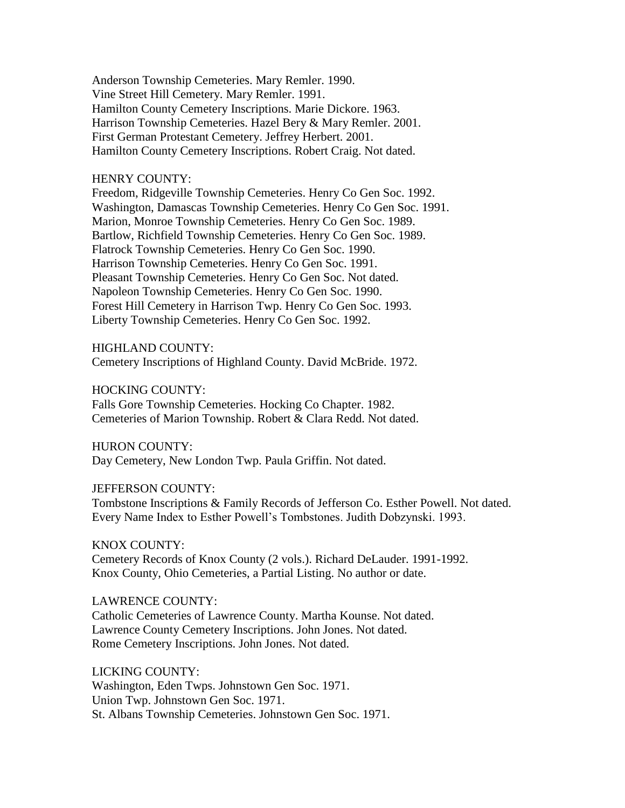Anderson Township Cemeteries. Mary Remler. 1990. Vine Street Hill Cemetery. Mary Remler. 1991. Hamilton County Cemetery Inscriptions. Marie Dickore. 1963. Harrison Township Cemeteries. Hazel Bery & Mary Remler. 2001. First German Protestant Cemetery. Jeffrey Herbert. 2001. Hamilton County Cemetery Inscriptions. Robert Craig. Not dated.

### HENRY COUNTY:

Freedom, Ridgeville Township Cemeteries. Henry Co Gen Soc. 1992. Washington, Damascas Township Cemeteries. Henry Co Gen Soc. 1991. Marion, Monroe Township Cemeteries. Henry Co Gen Soc. 1989. Bartlow, Richfield Township Cemeteries. Henry Co Gen Soc. 1989. Flatrock Township Cemeteries. Henry Co Gen Soc. 1990. Harrison Township Cemeteries. Henry Co Gen Soc. 1991. Pleasant Township Cemeteries. Henry Co Gen Soc. Not dated. Napoleon Township Cemeteries. Henry Co Gen Soc. 1990. Forest Hill Cemetery in Harrison Twp. Henry Co Gen Soc. 1993. Liberty Township Cemeteries. Henry Co Gen Soc. 1992.

### HIGHLAND COUNTY:

Cemetery Inscriptions of Highland County. David McBride. 1972.

### HOCKING COUNTY:

Falls Gore Township Cemeteries. Hocking Co Chapter. 1982. Cemeteries of Marion Township. Robert & Clara Redd. Not dated.

#### HURON COUNTY:

Day Cemetery, New London Twp. Paula Griffin. Not dated.

#### JEFFERSON COUNTY:

Tombstone Inscriptions & Family Records of Jefferson Co. Esther Powell. Not dated. Every Name Index to Esther Powell's Tombstones. Judith Dobzynski. 1993.

# KNOX COUNTY:

Cemetery Records of Knox County (2 vols.). Richard DeLauder. 1991-1992. Knox County, Ohio Cemeteries, a Partial Listing. No author or date.

#### LAWRENCE COUNTY:

Catholic Cemeteries of Lawrence County. Martha Kounse. Not dated. Lawrence County Cemetery Inscriptions. John Jones. Not dated. Rome Cemetery Inscriptions. John Jones. Not dated.

#### LICKING COUNTY:

Washington, Eden Twps. Johnstown Gen Soc. 1971. Union Twp. Johnstown Gen Soc. 1971. St. Albans Township Cemeteries. Johnstown Gen Soc. 1971.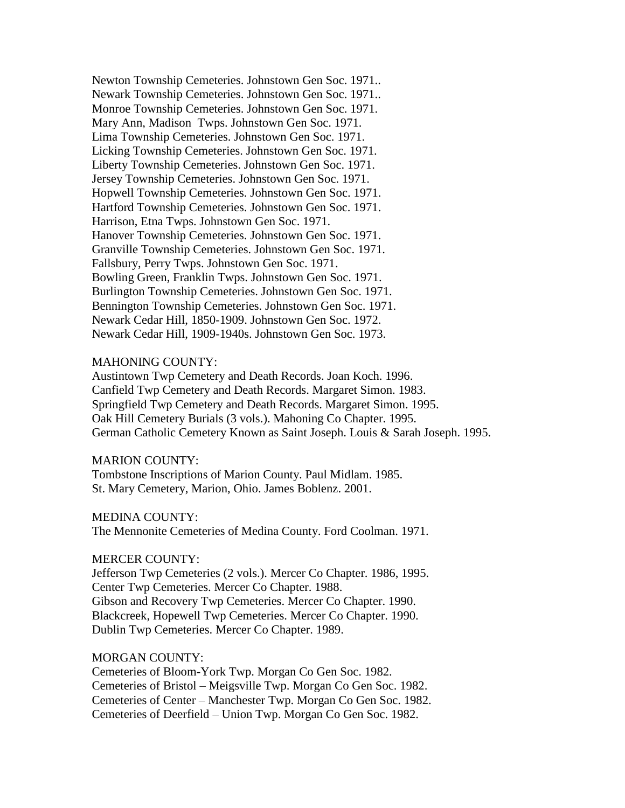Newton Township Cemeteries. Johnstown Gen Soc. 1971.. Newark Township Cemeteries. Johnstown Gen Soc. 1971.. Monroe Township Cemeteries. Johnstown Gen Soc. 1971. Mary Ann, Madison Twps. Johnstown Gen Soc. 1971. Lima Township Cemeteries. Johnstown Gen Soc. 1971. Licking Township Cemeteries. Johnstown Gen Soc. 1971. Liberty Township Cemeteries. Johnstown Gen Soc. 1971. Jersey Township Cemeteries. Johnstown Gen Soc. 1971. Hopwell Township Cemeteries. Johnstown Gen Soc. 1971. Hartford Township Cemeteries. Johnstown Gen Soc. 1971. Harrison, Etna Twps. Johnstown Gen Soc. 1971. Hanover Township Cemeteries. Johnstown Gen Soc. 1971. Granville Township Cemeteries. Johnstown Gen Soc. 1971. Fallsbury, Perry Twps. Johnstown Gen Soc. 1971. Bowling Green, Franklin Twps. Johnstown Gen Soc. 1971. Burlington Township Cemeteries. Johnstown Gen Soc. 1971. Bennington Township Cemeteries. Johnstown Gen Soc. 1971. Newark Cedar Hill, 1850-1909. Johnstown Gen Soc. 1972. Newark Cedar Hill, 1909-1940s. Johnstown Gen Soc. 1973.

## MAHONING COUNTY:

Austintown Twp Cemetery and Death Records. Joan Koch. 1996. Canfield Twp Cemetery and Death Records. Margaret Simon. 1983. Springfield Twp Cemetery and Death Records. Margaret Simon. 1995. Oak Hill Cemetery Burials (3 vols.). Mahoning Co Chapter. 1995. German Catholic Cemetery Known as Saint Joseph. Louis & Sarah Joseph. 1995.

### MARION COUNTY:

Tombstone Inscriptions of Marion County. Paul Midlam. 1985. St. Mary Cemetery, Marion, Ohio. James Boblenz. 2001.

#### MEDINA COUNTY:

The Mennonite Cemeteries of Medina County. Ford Coolman. 1971.

#### MERCER COUNTY:

Jefferson Twp Cemeteries (2 vols.). Mercer Co Chapter. 1986, 1995. Center Twp Cemeteries. Mercer Co Chapter. 1988. Gibson and Recovery Twp Cemeteries. Mercer Co Chapter. 1990. Blackcreek, Hopewell Twp Cemeteries. Mercer Co Chapter. 1990. Dublin Twp Cemeteries. Mercer Co Chapter. 1989.

### MORGAN COUNTY:

Cemeteries of Bloom-York Twp. Morgan Co Gen Soc. 1982. Cemeteries of Bristol – Meigsville Twp. Morgan Co Gen Soc. 1982. Cemeteries of Center – Manchester Twp. Morgan Co Gen Soc. 1982. Cemeteries of Deerfield – Union Twp. Morgan Co Gen Soc. 1982.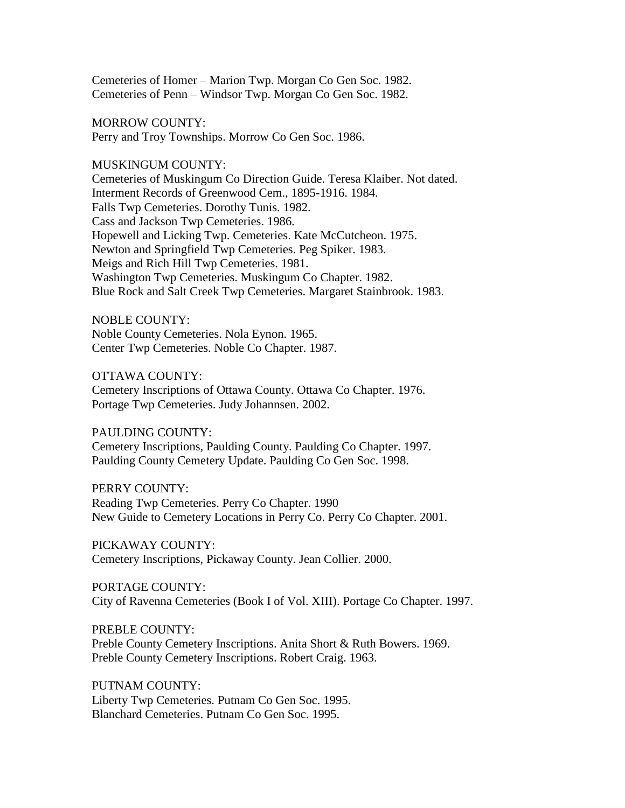Cemeteries of Homer – Marion Twp. Morgan Co Gen Soc. 1982. Cemeteries of Penn – Windsor Twp. Morgan Co Gen Soc. 1982.

MORROW COUNTY: Perry and Troy Townships. Morrow Co Gen Soc. 1986.

MUSKINGUM COUNTY:

Cemeteries of Muskingum Co Direction Guide. Teresa Klaiber. Not dated. Interment Records of Greenwood Cem., 1895-1916. 1984. Falls Twp Cemeteries. Dorothy Tunis. 1982. Cass and Jackson Twp Cemeteries. 1986. Hopewell and Licking Twp. Cemeteries. Kate McCutcheon. 1975. Newton and Springfield Twp Cemeteries. Peg Spiker. 1983. Meigs and Rich Hill Twp Cemeteries. 1981. Washington Twp Cemeteries. Muskingum Co Chapter. 1982. Blue Rock and Salt Creek Twp Cemeteries. Margaret Stainbrook. 1983.

NOBLE COUNTY: Noble County Cemeteries. Nola Eynon. 1965. Center Twp Cemeteries. Noble Co Chapter. 1987.

OTTAWA COUNTY:

Cemetery Inscriptions of Ottawa County. Ottawa Co Chapter. 1976. Portage Twp Cemeteries. Judy Johannsen. 2002.

PAULDING COUNTY:

Cemetery Inscriptions, Paulding County. Paulding Co Chapter. 1997. Paulding County Cemetery Update. Paulding Co Gen Soc. 1998.

PERRY COUNTY: Reading Twp Cemeteries. Perry Co Chapter. 1990 New Guide to Cemetery Locations in Perry Co. Perry Co Chapter. 2001.

PICKAWAY COUNTY: Cemetery Inscriptions, Pickaway County. Jean Collier. 2000.

PORTAGE COUNTY:

City of Ravenna Cemeteries (Book I of Vol. XIII). Portage Co Chapter. 1997.

PREBLE COUNTY: Preble County Cemetery Inscriptions. Anita Short & Ruth Bowers. 1969. Preble County Cemetery Inscriptions. Robert Craig. 1963.

PUTNAM COUNTY: Liberty Twp Cemeteries. Putnam Co Gen Soc. 1995. Blanchard Cemeteries. Putnam Co Gen Soc. 1995.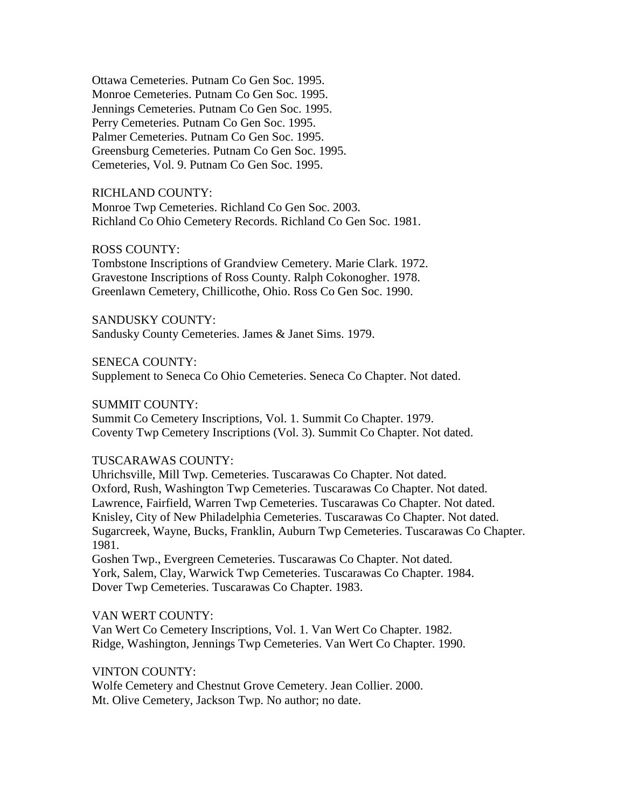Ottawa Cemeteries. Putnam Co Gen Soc. 1995. Monroe Cemeteries. Putnam Co Gen Soc. 1995. Jennings Cemeteries. Putnam Co Gen Soc. 1995. Perry Cemeteries. Putnam Co Gen Soc. 1995. Palmer Cemeteries. Putnam Co Gen Soc. 1995. Greensburg Cemeteries. Putnam Co Gen Soc. 1995. Cemeteries, Vol. 9. Putnam Co Gen Soc. 1995.

RICHLAND COUNTY:

Monroe Twp Cemeteries. Richland Co Gen Soc. 2003. Richland Co Ohio Cemetery Records. Richland Co Gen Soc. 1981.

# ROSS COUNTY:

Tombstone Inscriptions of Grandview Cemetery. Marie Clark. 1972. Gravestone Inscriptions of Ross County. Ralph Cokonogher. 1978. Greenlawn Cemetery, Chillicothe, Ohio. Ross Co Gen Soc. 1990.

SANDUSKY COUNTY: Sandusky County Cemeteries. James & Janet Sims. 1979.

SENECA COUNTY:

Supplement to Seneca Co Ohio Cemeteries. Seneca Co Chapter. Not dated.

## SUMMIT COUNTY:

Summit Co Cemetery Inscriptions, Vol. 1. Summit Co Chapter. 1979. Coventy Twp Cemetery Inscriptions (Vol. 3). Summit Co Chapter. Not dated.

# TUSCARAWAS COUNTY:

Uhrichsville, Mill Twp. Cemeteries. Tuscarawas Co Chapter. Not dated. Oxford, Rush, Washington Twp Cemeteries. Tuscarawas Co Chapter. Not dated. Lawrence, Fairfield, Warren Twp Cemeteries. Tuscarawas Co Chapter. Not dated. Knisley, City of New Philadelphia Cemeteries. Tuscarawas Co Chapter. Not dated. Sugarcreek, Wayne, Bucks, Franklin, Auburn Twp Cemeteries. Tuscarawas Co Chapter. 1981.

Goshen Twp., Evergreen Cemeteries. Tuscarawas Co Chapter. Not dated. York, Salem, Clay, Warwick Twp Cemeteries. Tuscarawas Co Chapter. 1984. Dover Twp Cemeteries. Tuscarawas Co Chapter. 1983.

# VAN WERT COUNTY:

Van Wert Co Cemetery Inscriptions, Vol. 1. Van Wert Co Chapter. 1982. Ridge, Washington, Jennings Twp Cemeteries. Van Wert Co Chapter. 1990.

## VINTON COUNTY:

Wolfe Cemetery and Chestnut Grove Cemetery. Jean Collier. 2000. Mt. Olive Cemetery, Jackson Twp. No author; no date.